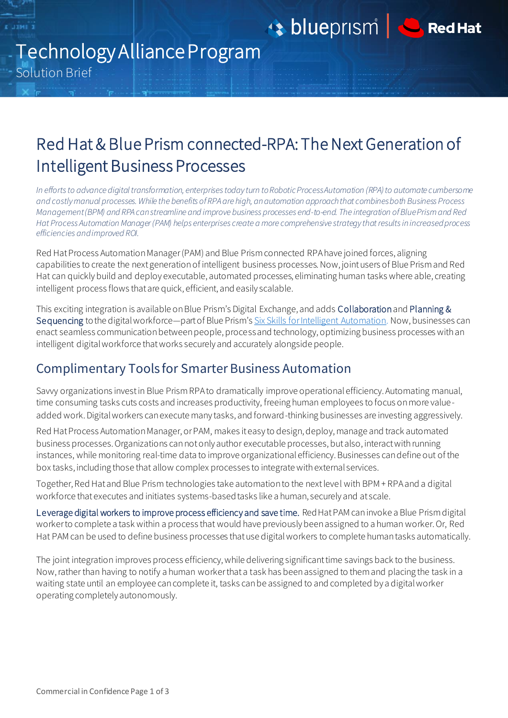blueprism | CREAT



# Technology Alliance Program Solution Brief

*<u><b><i>x* **11948**</u>

## Red Hat & Blue Prism connected-RPA: The Next Generation of Intelligent Business Processes j

*In efforts to advance digital transformation, enterprises today turn to Robotic Process Automation (RPA) to automate cumbersome and costly manual processes. While the benefits of RPA are high, an automation approach that combines both Business Process Management (BPM) and RPA can streamline and improve business processes end-to-end. The integration of Blue Prism and Red Hat Process Automation Manager (PAM) helps enterprises create a more comprehensive strategy that results in increased process efficiencies and improved ROI.* 

Red Hat Process Automation Manager (PAM) and Blue Prism connected RPA have joined forces, aligning capabilities to create the next generation of intelligent business processes. Now, joint users of Blue Prism and Red Hat can quickly build and deploy executable, automated processes, eliminating human tasks where able, creating intelligent process flows that are quick, efficient, and easily scalable.

This exciting integration is available on Blue Prism's Digital Exchange, and adds Collaborationand Planning & Sequencing to the digital workforce—part of Blue Prism's [Six Skills for Intelligent Automation.](https://www.blueprism.com/product/skills/) Now, businesses can enact seamless communication between people, process and technology, optimizing business processes with an intelligent digital workforce that works securely and accurately alongside people.

### Complimentary Tools for Smarter Business Automation

Savvy organizations invest in Blue Prism RPA to dramatically improve operational efficiency. Automating manual, time consuming tasks cuts costs and increases productivity, freeing human employees to focus on more valueadded work. Digital workers can execute many tasks, and forward-thinking businesses are investing aggressively.

Red Hat Process Automation Manager, or PAM, makes it easy to design, deploy, manage and track automated business processes. Organizations can not only author executable processes, but also, interact with running instances, while monitoring real-time data to improve organizational efficiency. Businesses can define out of the box tasks, including those that allow complex processes to integrate with external services.

Together, Red Hat and Blue Prism technologies take automation to the next level with BPM + RPA and a digital workforce that executes and initiates systems-based tasks like a human, securely and at scale.

Leverage digital workers to improve process efficiency and save time. Red Hat PAM can invoke a Blue Prism digital worker to complete a task within a process that would have previously been assigned to a human worker. Or, Red Hat PAM can be used to define business processes that use digital workers to complete human tasks automatically.

The joint integration improves process efficiency, while delivering significant time savings back to the business. Now, rather than having to notify a human worker that a task has been assigned to them and placing the task in a waiting state until an employee can complete it, tasks can be assigned to and completed by a digital worker operating completely autonomously.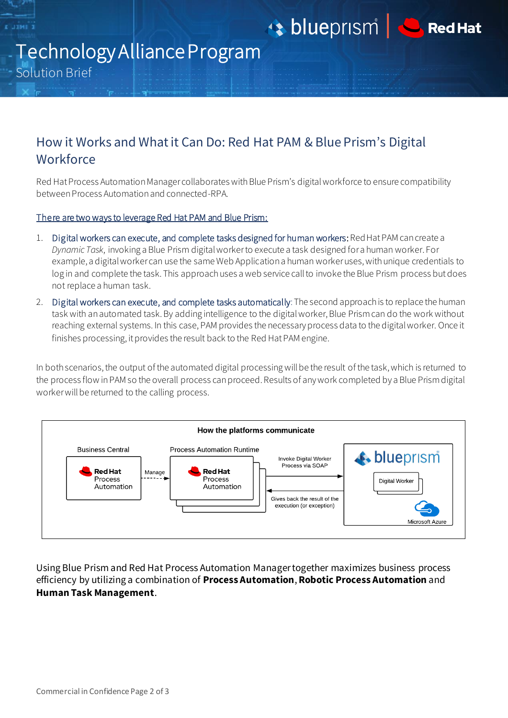

blueprism | CREAT



# Technology Alliance Program Solution Brief

### How it Works and What it Can Do: Red Hat PAM & Blue Prism's Digital **Workforce**

Red Hat Process Automation Manager collaborates with Blue Prism's digital workforce to ensure compatibility between Process Automation and connected-RPA.

#### There are two ways to leverage Red Hat PAM and Blue Prism:

- 1. Digital workers can execute, and complete tasks designed for human workers: Red Hat PAM can create a *Dynamic Task*, invoking a Blue Prism digital worker to execute a task designed for a human worker. For example, a digital worker can use the same Web Application a human worker uses, with unique credentials to log in and complete the task. This approach uses a web service call to invoke the Blue Prism process butdoes not replace a human task.
- 2. Digital workers can execute, and complete tasks automatically: The second approach is to replace the human task with an automated task. By adding intelligence to the digital worker, Blue Prism can do the work without reaching external systems. In this case, PAM provides the necessary process data to the digital worker. Once it finishes processing, it provides the result back to the Red Hat PAM engine.

In both scenarios, the output of the automated digital processing will be the result of the task, which is returned to the process flow in PAM so the overall process can proceed. Results of any work completed by a Blue Prism digital worker will be returned to the calling process.



Using Blue Prism and Red Hat Process Automation Manager together maximizes business process efficiency by utilizing a combination of **Process Automation**, **Robotic Process Automation** and **Human Task Management**.